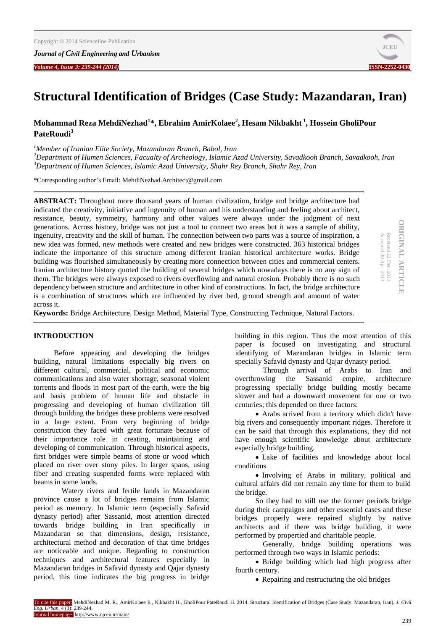*Volume 4, Issue 3: 239-244 (2014)* **ISSN-2252-0430**



# **Structural Identification of Bridges (Case Study: Mazandaran, Iran)**

# **Mohammad Reza MehdiNezhad<sup>1</sup> \*, Ebrahim AmirKolaee<sup>2</sup> , Hesam Nikbakht <sup>1</sup> , Hossein GholiPour PateRoudi<sup>3</sup>**

*<sup>1</sup>Member of Iranian Elite Society, Mazandaran Branch, Babol, Iran*

*<sup>2</sup>Department of Humen Sciences, Facualty of Archeology, Islamic Azad University, Savadkooh Branch, Savadkooh, Iran <sup>3</sup>Department of Humen Sciences, Islamic Azad University, Shahr Rey Branch, Shahr Rey, Iran*

\*Corresponding author's Email: MehdiNezhad.Architect@gmail.com

**ABSTRACT:** Throughout more thousand years of human civilization, bridge and bridge architecture had indicated the creativity, initiative and ingenuity of human and his understanding and feeling about architect, resistance, beauty, symmetry, harmony and other values were always under the judgment of next generations. Across history, bridge was not just a tool to connect two areas but it was a sample of ability, ingenuity, creativity and the skill of human. The connection between two parts was a source of inspiration, a new idea was formed, new methods were created and new bridges were constructed. 363 historical bridges indicate the importance of this structure among different Iranian historical architecture works. Bridge building was flourished simultaneously by creating more connection between cities and commercial centers. Iranian architecture history quoted the building of several bridges which nowadays there is no any sign of them. The bridges were always exposed to rivers overflowing and natural erosion. Probably there is no such dependency between structure and architecture in other kind of constructions. In fact, the bridge architecture is a combination of structures which are influenced by river bed, ground strength and amount of water across it.

**ORIGINAL ARTICLE ORIGINAL ARTICIE** Received 22 Dec. 2013<br>Accepted 30 Apr. 2014 Received 22 Dec. 2013

Accepted 30 Apr. 2014

**Keywords:** Bridge Architecture, Design Method, Material Type, Constructing Technique, Natural Factors.

### **INTRODUCTION**

Before appearing and developing the bridges building, natural limitations especially big rivers on different cultural, commercial, political and economic communications and also water shortage, seasonal violent torrents and floods in most part of the earth, were the big and basis problem of human life and obstacle in progressing and developing of human civilization till through building the bridges these problems were resolved in a large extent. From very beginning of bridge construction they faced with great fortunate because of their importance role in creating, maintaining and developing of communication. Through historical aspects, first bridges were simple beams of stone or wood which placed on river over stony piles. In larger spans, using fiber and creating suspended forms were replaced with beams in some lands.

 Watery rivers and fertile lands in Mazandaran province cause a lot of bridges remains from Islamic period as memory. In Islamic term (especially Safavid dynasty period) after Sassanid, most attention directed towards bridge building in Iran specifically in Mazandaran so that dimensions, design, resistance, architectural method and decoration of that time bridges are noticeable and unique. Regarding to construction techniques and architectural features especially in Mazandaran bridges in Safavid dynasty and Qajar dynasty period, this time indicates the big progress in bridge

building in this region. Thus the most attention of this paper is focused on investigating and structural identifying of Mazandaran bridges in Islamic term specially Safavid dynasty and Qajar dynasty period.

 Through arrival of Arabs to Iran and overthrowing the Sassanid empire, architecture progressing specially bridge building mostly became slower and had a downward movement for one or two centuries; this depended on three factors:

 Arabs arrived from a territory which didn't have big rivers and consequently important ridges. Therefore it can be said that through this explanations, they did not have enough scientific knowledge about architecture especially bridge building.

 Lake of facilities and knowledge about local conditions

 Involving of Arabs in military, political and cultural affairs did not remain any time for them to build the bridge.

So they had to still use the former periods bridge during their campaigns and other essential cases and these bridges properly were repaired slightly by native architects and if there was bridge building, it were performed by propertied and charitable people.

 Generally, bridge building operations was performed through two ways in Islamic periods:

• Bridge building which had high progress after fourth century.

• Repairing and restructuring the old bridges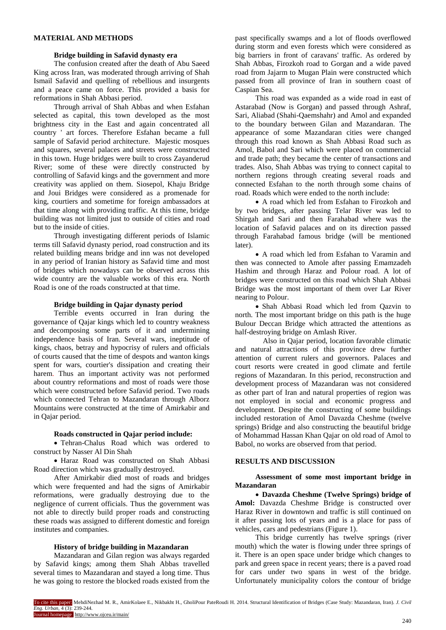### **MATERIAL AND METHODS**

### **Bridge building in Safavid dynasty era**

The confusion created after the death of Abu Saeed King across Iran, was moderated through arriving of Shah Ismail Safavid and quelling of rebellious and insurgents and a peace came on force. This provided a basis for reformations in Shah Abbasi period.

Through arrival of Shah Abbas and when Esfahan selected as capital, this town developed as the most brightness city in the East and again concentrated all country ' art forces. Therefore Esfahan became a full sample of Safavid period architecture. Majestic mosques and squares, several palaces and streets were constructed in this town. Huge bridges were built to cross Zayanderud River; some of these were directly constructed by controlling of Safavid kings and the government and more creativity was applied on them. Siosepol, Khaju Bridge and Joui Bridges were considered as a promenade for king, courtiers and sometime for foreign ambassadors at that time along with providing traffic. At this time, bridge building was not limited just to outside of cities and road but to the inside of cities.

Through investigating different periods of Islamic terms till Safavid dynasty period, road construction and its related building means bridge and inn was not developed in any period of Iranian history as Safavid time and most of bridges which nowadays can be observed across this wide country are the valuable works of this era. North Road is one of the roads constructed at that time.

#### **Bridge building in Qajar dynasty period**

Terrible events occurred in Iran during the governance of Qajar kings which led to country weakness and decomposing some parts of it and undermining independence basis of Iran. Several wars, ineptitude of kings, chaos, betray and hypocrisy of rulers and officials of courts caused that the time of despots and wanton kings spent for wars, courtier's dissipation and creating their harem. Thus an important activity was not performed about country reformations and most of roads were those which were constructed before Safavid period. Two roads which connected Tehran to Mazandaran through Alborz Mountains were constructed at the time of Amirkabir and in Qajar period.

#### **Roads constructed in Qajar period include:**

 Tehran-Chalus Road which was ordered to construct by Nasser Al Din Shah

 Haraz Road was constructed on Shah Abbasi Road direction which was gradually destroyed.

After Amirkabir died most of roads and bridges which were frequented and had the signs of Amirkabir reformations, were gradually destroying due to the negligence of current officials. Thus the government was not able to directly build proper roads and constructing these roads was assigned to different domestic and foreign institutes and companies.

# **History of bridge building in Mazandaran**

Mazandaran and Gilan region was always regarded by Safavid kings; among them Shah Abbas travelled several times to Mazandaran and stayed a long time. Thus he was going to restore the blocked roads existed from the past specifically swamps and a lot of floods overflowed during storm and even forests which were considered as big barriers in front of caravans' traffic. As ordered by Shah Abbas, Firozkoh road to Gorgan and a wide paved road from Jajarm to Mugan Plain were constructed which passed from all province of Iran in southern coast of Caspian Sea.

This road was expanded as a wide road in east of Astarabad (Now is Gorgan) and passed through Ashraf, Sari, Aliabad (Shahi-Qaemshahr) and Amol and expanded to the boundary between Gilan and Mazandaran. The appearance of some Mazandaran cities were changed through this road known as Shah Abbasi Road such as Amol, Babol and Sari which were placed on commercial and trade path; they became the center of transactions and trades. Also, Shah Abbas was trying to connect capital to northern regions through creating several roads and connected Esfahan to the north through some chains of road. Roads which were ended to the north include:

 A road which led from Esfahan to Firozkoh and by two bridges, after passing Telar River was led to Shirgah and Sari and then Farahabad where was the location of Safavid palaces and on its direction passed through Farahabad famous bridge (will be mentioned later).

• A road which led from Esfahan to Varamin and then was connected to Amole after passing Emamzadeh Hashim and through Haraz and Polour road. A lot of bridges were constructed on this road which Shah Abbasi Bridge was the most important of them over Lar River nearing to Polour.

 Shah Abbasi Road which led from Qazvin to north. The most important bridge on this path is the huge Bulour Deccan Bridge which attracted the attentions as half-destroying bridge on Amlash River.

 Also in Qajar period, location favorable climatic and natural attractions of this province drew further attention of current rulers and governors. Palaces and court resorts were created in good climate and fertile regions of Mazandaran. In this period, reconstruction and development process of Mazandaran was not considered as other part of Iran and natural properties of region was not employed in social and economic progress and development. Despite the constructing of some buildings included restoration of Amol Davazda Cheshme (twelve springs) Bridge and also constructing the beautiful bridge of Mohammad Hassan Khan Qajar on old road of Amol to Babol, no works are observed from that period.

## **RESULTS AND DISCUSSION**

**Assessment of some most important bridge in Mazandaran**

 **Davazda Cheshme (Twelve Springs) bridge of**  Amol: Davazda Cheshme Bridge is constructed over Haraz River in downtown and traffic is still continued on it after passing lots of years and is a place for pass of vehicles, cars and pedestrians (Figure 1).

This bridge currently has twelve springs (river mouth) which the water is flowing under three springs of it. There is an open space under bridge which changes to park and green space in recent years; there is a paved road for cars under two spans in west of the bridge. Unfortunately municipality colors the contour of bridge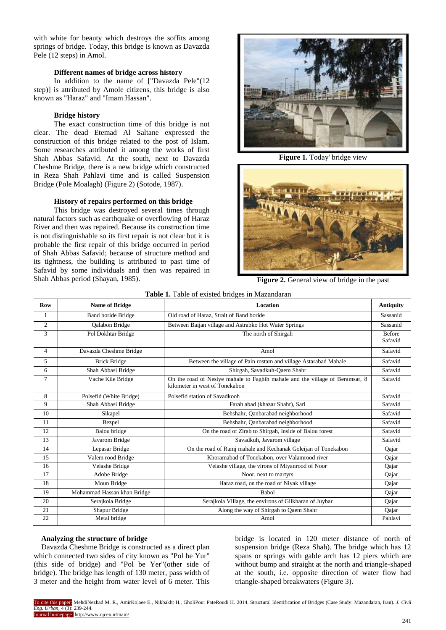with white for beauty which destroys the soffits among springs of bridge. Today, this bridge is known as Davazda Pele (12 steps) in Amol.

#### **Different names of bridge across history**

In addition to the name of ["Davazda Pele"(12 step)] is attributed by Amole citizens, this bridge is also known as "Haraz" and "Imam Hassan".

### **Bridge history**

The exact construction time of this bridge is not clear. The dead Etemad Al Saltane expressed the construction of this bridge related to the post of Islam. Some researches attributed it among the works of first Shah Abbas Safavid. At the south, next to Davazda Cheshme Bridge, there is a new bridge which constructed in Reza Shah Pahlavi time and is called Suspension Bridge (Pole Moalagh) (Figure 2) (Sotode, 1987).

## **History of repairs performed on this bridge**

This bridge was destroyed several times through natural factors such as earthquake or overflowing of Haraz River and then was repaired. Because its construction time is not distinguishable so its first repair is not clear but it is probable the first repair of this bridge occurred in period of Shah Abbas Safavid; because of structure method and its tightness, the building is attributed to past time of Safavid by some individuals and then was repaired in Shah Abbas period (Shayan, 1985).



**Figure 1.** Today' bridge view



**Figure 2.** General view of bridge in the past

| <b>EADIC 1.</b> TWO OF CABLE DIRECT IN MAZUREM ON |                             |                                                                                                                |                          |
|---------------------------------------------------|-----------------------------|----------------------------------------------------------------------------------------------------------------|--------------------------|
| <b>Row</b>                                        | <b>Name of Bridge</b>       | <b>Location</b>                                                                                                | <b>Antiquity</b>         |
| 1                                                 | <b>Band boride Bridge</b>   | Old road of Haraz, Strait of Band boride                                                                       | Sassanid                 |
| $\overline{c}$                                    | <b>Oalabon Bridge</b>       | Between Baijan village and Astrabko Hot Water Springs                                                          | Sassanid                 |
| 3                                                 | Pol Dokhtar Bridge          | The north of Shirgah                                                                                           | <b>Before</b><br>Safavid |
| $\overline{4}$                                    | Davazda Cheshme Bridge      | Amol                                                                                                           | Safavid                  |
| 5                                                 | <b>Brick Bridge</b>         | Between the village of Pain rostam and village Astarabad Mahale                                                | Safavid                  |
| 6                                                 | Shah Abbasi Bridge          | Shirgah, Savadkuh-Qaem Shahr                                                                                   | Safavid                  |
| 7                                                 | Vache Kile Bridge           | On the road of Nesiye mahale to Faghih mahale and the village of Beramsar, 8<br>kilometer in west of Tonekabon | Safavid                  |
| 8                                                 | Polsefid (White Bridge)     | Polsefid station of Savadkooh                                                                                  | Safavid                  |
| 9                                                 | Shah Abbasi Bridge          | Farah abad (khazar Shahr), Sari                                                                                | Safavid                  |
| 10                                                | Sikapel                     | Behshahr, Qanbarabad neighborhood                                                                              | Safavid                  |
| 11                                                | Bezpel                      | Behshahr, Qanbarabad neighborhood                                                                              | Safavid                  |
| 12                                                | Balou bridge                | On the road of Zirab to Shirgah, Inside of Balou forest                                                        | Safavid                  |
| 13                                                | Javarom Bridge              | Savadkuh, Javarom village                                                                                      | Safavid                  |
| 14                                                | Lepasar Bridge              | On the road of Ramj mahale and Kechanak Goleijan of Tonekabon                                                  | Qajar                    |
| 15                                                | Valem rood Bridge           | Khoramabad of Tonekabon, over Valamrood river                                                                  | Qajar                    |
| 16                                                | Velashe Bridge              | Velashe village, the virons of Miyanrood of Noor                                                               | Qajar                    |
| 17                                                | Adobe Bridge                | Noor, next to martyrs                                                                                          | Qajar                    |
| 18                                                | Moun Bridge                 | Haraz road, on the road of Niyak village                                                                       | Qajar                    |
| 19                                                | Mohammad Hassan khan Bridge | <b>Babol</b>                                                                                                   | Qajar                    |
| 20                                                | Serajkola Bridge            | Serajkola Village, the environs of Gilkharan of Juybar                                                         | Qajar                    |
| 21                                                | Shapur Bridge               | Along the way of Shirgah to Qaem Shahr                                                                         | Qajar                    |
| 22                                                | Metal bridge                | Amol                                                                                                           | Pahlavi                  |

#### **Table 1.** Table of existed bridges in Mazandaran

#### **Analyzing the structure of bridge**

 Davazda Cheshme Bridge is constructed as a direct plan which connected two sides of city known as "Pol be Yur" (this side of bridge) and "Pol be Yer"(other side of bridge). The bridge has length of 130 meter, pass width of 3 meter and the height from water level of 6 meter. This

bridge is located in 120 meter distance of north of suspension bridge (Reza Shah). The bridge which has 12 spans or springs with gable arch has 12 piers which are without bump and straight at the north and triangle-shaped at the south, i.e. opposite direction of water flow had triangle-shaped breakwaters (Figure 3).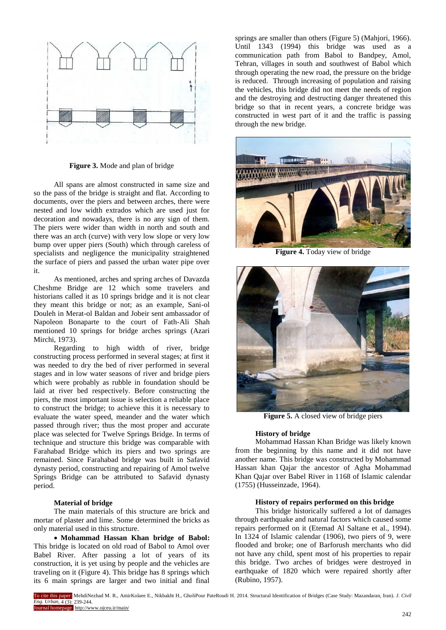

**Figure 3.** Mode and plan of bridge

All spans are almost constructed in same size and so the pass of the bridge is straight and flat. According to documents, over the piers and between arches, there were nested and low width extrados which are used just for decoration and nowadays, there is no any sign of them. The piers were wider than width in north and south and there was an arch (curve) with very low slope or very low bump over upper piers (South) which through careless of specialists and negligence the municipality straightened the surface of piers and passed the urban water pipe over it.

As mentioned, arches and spring arches of Davazda Cheshme Bridge are 12 which some travelers and historians called it as 10 springs bridge and it is not clear they meant this bridge or not; as an example, Sani-ol Douleh in Merat-ol Baldan and Jobeir sent ambassador of Napoleon Bonaparte to the court of Fath-Ali Shah mentioned 10 springs for bridge arches springs (Azari Mirchi, 1973).

Regarding to high width of river, bridge constructing process performed in several stages; at first it was needed to dry the bed of river performed in several stages and in low water seasons of river and bridge piers which were probably as rubble in foundation should be laid at river bed respectively. Before constructing the piers, the most important issue is selection a reliable place to construct the bridge; to achieve this it is necessary to evaluate the water speed, meander and the water which passed through river; thus the most proper and accurate place was selected for Twelve Springs Bridge. In terms of technique and structure this bridge was comparable with Farahabad Bridge which its piers and two springs are remained. Since Farahabad bridge was built in Safavid dynasty period, constructing and repairing of Amol twelve Springs Bridge can be attributed to Safavid dynasty period.

## **Material of bridge**

The main materials of this structure are brick and mortar of plaster and lime. Some determined the bricks as only material used in this structure.

 **Mohammad Hassan Khan bridge of Babol:**  This bridge is located on old road of Babol to Amol over Babel River. After passing a lot of years of its construction, it is yet using by people and the vehicles are traveling on it (Figure 4). This bridge has 8 springs which its 6 main springs are larger and two initial and final

springs are smaller than others (Figure 5) (Mahiori, 1966). Until 1343 (1994) this bridge was used as a communication path from Babol to Bandpey, Amol, Tehran, villages in south and southwest of Babol which through operating the new road, the pressure on the bridge is reduced. Through increasing of population and raising the vehicles, this bridge did not meet the needs of region and the destroying and destructing danger threatened this bridge so that in recent years, a concrete bridge was constructed in west part of it and the traffic is passing through the new bridge.



**Figure 4.** Today view of bridge



**Figure 5.** A closed view of bridge piers

#### **History of bridge**

Mohammad Hassan Khan Bridge was likely known from the beginning by this name and it did not have another name. This bridge was constructed by Mohammad Hassan khan Qajar the ancestor of Agha Mohammad Khan Qajar over Babel River in 1168 of Islamic calendar (1755) (Husseinzade, 1964).

#### **History of repairs performed on this bridge**

This bridge historically suffered a lot of damages through earthquake and natural factors which caused some repairs performed on it (Etemad Al Saltane et al., 1994). In 1324 of Islamic calendar (1906), two piers of 9, were flooded and broke; one of Barforush merchants who did not have any child, spent most of his properties to repair this bridge. Two arches of bridges were destroyed in earthquake of 1820 which were repaired shortly after (Rubino, 1957).

To cite this paper: MehdiNezhad M. R., AmirKolaee E., Nikbakht H., GholiPour PateRoudi H. 2014. Structural Identification of Bridges (Case Study: Mazandaran, Iran). *J. Civil Eng. Urban,* 4 (3): 239-244. Journal homepage: http://www.ojceu.ir/main/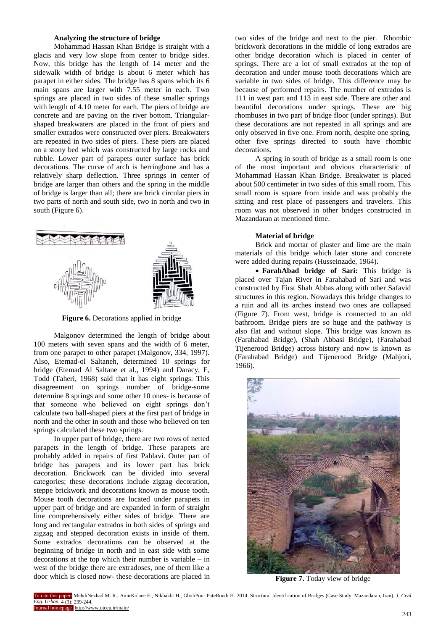## **Analyzing the structure of bridge**

Mohammad Hassan Khan Bridge is straight with a glacis and very low slope from center to bridge sides. Now, this bridge has the length of 14 meter and the sidewalk width of bridge is about 6 meter which has parapet in either sides. The bridge has 8 spans which its 6 main spans are larger with 7.55 meter in each. Two springs are placed in two sides of these smaller springs with length of 4.10 meter for each. The piers of bridge are concrete and are paving on the river bottom. Triangularshaped breakwaters are placed in the front of piers and smaller extrados were constructed over piers. Breakwaters are repeated in two sides of piers. These piers are placed on a stony bed which was constructed by large rocks and rubble. Lower part of parapets outer surface has brick decorations. The curve of arch is herringbone and has a relatively sharp deflection. Three springs in center of bridge are larger than others and the spring in the middle of bridge is larger than all; there are brick circular piers in two parts of north and south side, two in north and two in south (Figure 6).



**Figure 6.** Decorations applied in bridge

Malgonov determined the length of bridge about 100 meters with seven spans and the width of 6 meter, from one parapet to other parapet (Malgonov, 334, 1997). Also, Etemad-ol Saltaneh, determined 10 springs for bridge (Etemad Al Saltane et al., 1994) and Daracy, E, Todd (Taheri, 1968) said that it has eight springs. This disagreement on springs number of bridge-some determine 8 springs and some other 10 ones- is because of that someone who believed on eight springs don't calculate two ball-shaped piers at the first part of bridge in north and the other in south and those who believed on ten springs calculated these two springs.

In upper part of bridge, there are two rows of netted parapets in the length of bridge. These parapets are probably added in repairs of first Pahlavi. Outer part of bridge has parapets and its lower part has brick decoration. Brickwork can be divided into several categories; these decorations include zigzag decoration, steppe brickwork and decorations known as mouse tooth. Mouse tooth decorations are located under parapets in upper part of bridge and are expanded in form of straight line comprehensively either sides of bridge. There are long and rectangular extrados in both sides of springs and zigzag and stepped decoration exists in inside of them. Some extrados decorations can be observed at the beginning of bridge in north and in east side with some decorations at the top which their number is variable – in west of the bridge there are extradoses, one of them like a door which is closed now- these decorations are placed in two sides of the bridge and next to the pier. Rhombic brickwork decorations in the middle of long extrados are other bridge decoration which is placed in center of springs. There are a lot of small extrados at the top of decoration and under mouse tooth decorations which are variable in two sides of bridge. This difference may be because of performed repairs. The number of extrados is 111 in west part and 113 in east side. There are other and beautiful decorations under springs. These are big rhombuses in two part of bridge floor (under springs). But these decorations are not repeated in all springs and are only observed in five one. From north, despite one spring, other five springs directed to south have rhombic decorations.

A spring in south of bridge as a small room is one of the most important and obvious characteristic of Mohammad Hassan Khan Bridge. Breakwater is placed about 500 centimeter in two sides of this small room. This small room is square from inside and was probably the sitting and rest place of passengers and travelers. This room was not observed in other bridges constructed in Mazandaran at mentioned time.

# **Material of bridge**

Brick and mortar of plaster and lime are the main materials of this bridge which later stone and concrete were added during repairs (Husseinzade, 1964).

 **FarahAbad bridge of Sari:** This bridge is placed over Tajan River in Farahabad of Sari and was constructed by First Shah Abbas along with other Safavid structures in this region. Nowadays this bridge changes to a ruin and all its arches instead two ones are collapsed (Figure 7). From west, bridge is connected to an old bathroom. Bridge piers are so huge and the pathway is also flat and without slope. This bridge was known as (Farahabad Bridge), (Shah Abbasi Bridge), (Farahabad Tijenerood Bridge) across history and now is known as (Farahabad Bridge) and Tijenerood Bridge (Mahjori, 1966).



**Figure 7.** Today view of bridge

To cite this paper: MehdiNezhad M. R., AmirKolaee E., Nikbakht H., GholiPour PateRoudi H. 2014. Structural Identification of Bridges (Case Study: Mazandaran, Iran). *J. Civil Eng. Urban,* 4 (3): 239-244. Journal homepage: http://www.ojceu.ir/main/